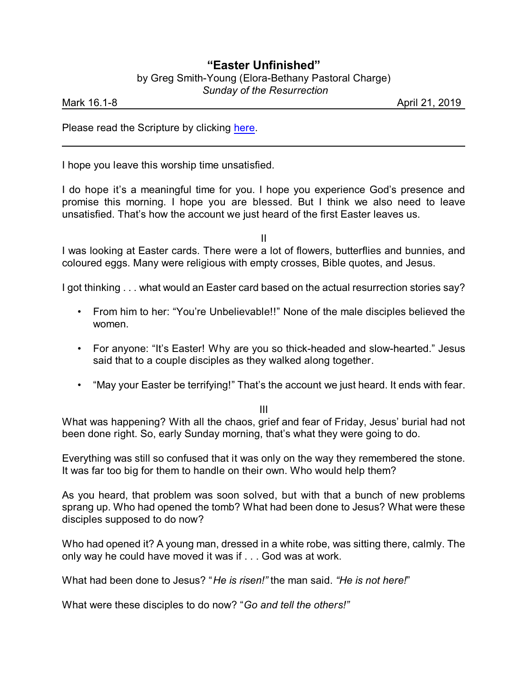## **"Easter Unfinished"**

by Greg Smith-Young (Elora-Bethany Pastoral Charge)

 *Sunday of the Resurrection*

Mark 16.1-8 **April 21, 2019** 

Please read the Scripture by clicking [here](https://www.biblegateway.com/passage/?search=Mark+16%3A1-8&version=CEB).

I hope you leave this worship time unsatisfied.

I do hope it's a meaningful time for you. I hope you experience God's presence and promise this morning. I hope you are blessed. But I think we also need to leave unsatisfied. That's how the account we just heard of the first Easter leaves us.

II

I was looking at Easter cards. There were a lot of flowers, butterflies and bunnies, and coloured eggs. Many were religious with empty crosses, Bible quotes, and Jesus.

I got thinking . . . what would an Easter card based on the actual resurrection stories say?

- From him to her: "You're Unbelievable!!" None of the male disciples believed the women.
- For anyone: "It's Easter! Why are you so thick-headed and slow-hearted." Jesus said that to a couple disciples as they walked along together.
- "May your Easter be terrifying!" That's the account we just heard. It ends with fear.

III

What was happening? With all the chaos, grief and fear of Friday, Jesus' burial had not been done right. So, early Sunday morning, that's what they were going to do.

Everything was still so confused that it was only on the way they remembered the stone. It was far too big for them to handle on their own. Who would help them?

As you heard, that problem was soon solved, but with that a bunch of new problems sprang up. Who had opened the tomb? What had been done to Jesus? What were these disciples supposed to do now?

Who had opened it? A young man, dressed in a white robe, was sitting there, calmly. The only way he could have moved it was if . . . God was at work.

What had been done to Jesus? "*He is risen!"* the man said. *"He is not here!*"

What were these disciples to do now? "*Go and tell the others!"*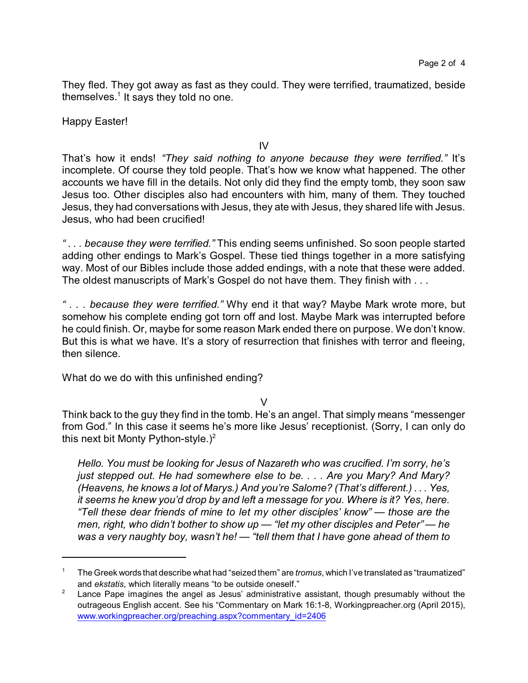They fled. They got away as fast as they could. They were terrified, traumatized, beside themselves.<sup>1</sup> It says they told no one.

Happy Easter!

IV

That's how it ends! *"They said nothing to anyone because they were terrified."* It's incomplete. Of course they told people. That's how we know what happened. The other accounts we have fill in the details. Not only did they find the empty tomb, they soon saw Jesus too. Other disciples also had encounters with him, many of them. They touched Jesus, they had conversations with Jesus, they ate with Jesus, they shared life with Jesus. Jesus, who had been crucified!

*" . . . because they were terrified."* This ending seems unfinished. So soon people started adding other endings to Mark's Gospel. These tied things together in a more satisfying way. Most of our Bibles include those added endings, with a note that these were added. The oldest manuscripts of Mark's Gospel do not have them. They finish with . . .

*" . . . because they were terrified."* Why end it that way? Maybe Mark wrote more, but somehow his complete ending got torn off and lost. Maybe Mark was interrupted before he could finish. Or, maybe for some reason Mark ended there on purpose. We don't know. But this is what we have. It's a story of resurrection that finishes with terror and fleeing. then silence.

What do we do with this unfinished ending?

V

Think back to the guy they find in the tomb. He's an angel. That simply means "messenger from God." In this case it seems he's more like Jesus' receptionist. (Sorry, I can only do this next bit Monty Python-style.)<sup>2</sup>

*Hello. You must be looking for Jesus of Nazareth who was crucified. I'm sorry, he's just stepped out. He had somewhere else to be. . . . Are you Mary? And Mary? (Heavens, he knows a lot of Marys.) And you're Salome? (That's different.) . . . Yes, it seems he knew you'd drop by and left a message for you. Where is it? Yes, here. "Tell these dear friends of mine to let my other disciples' know" — those are the men, right, who didn't bother to show up — "let my other disciples and Peter" — he was a very naughty boy, wasn't he! — "tell them that I have gone ahead of them to*

<sup>1</sup> The Greek words that describe what had "seized them" are *tromus*, which I've translated as "traumatized" and *ekstatis*, which literally means "to be outside oneself."

Lance Pape imagines the angel as Jesus' administrative assistant, though presumably without the outrageous English accent. See his "Commentary on Mark 16:1-8, Workingpreacher.org (April 2015), [www.workingpreacher.org/preaching.aspx?commentary\\_id=2406](http://www.workingpreacher.org/preaching.aspx?commentary_id=2406)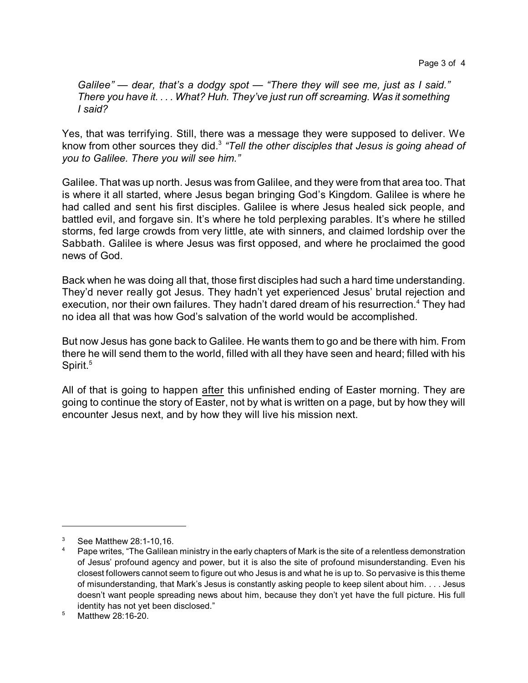*Galilee" — dear, that's a dodgy spot — "There they will see me, just as I said." There you have it. . . . What? Huh. They've just run off screaming. Was it something I said?*

Yes, that was terrifying. Still, there was a message they were supposed to deliver. We know from other sources they did.<sup>3</sup> *"Tell the other disciples that Jesus is going ahead of you to Galilee. There you will see him."*

Galilee. That was up north. Jesus was from Galilee, and they were from that area too. That is where it all started, where Jesus began bringing God's Kingdom. Galilee is where he had called and sent his first disciples. Galilee is where Jesus healed sick people, and battled evil, and forgave sin. It's where he told perplexing parables. It's where he stilled storms, fed large crowds from very little, ate with sinners, and claimed lordship over the Sabbath. Galilee is where Jesus was first opposed, and where he proclaimed the good news of God.

Back when he was doing all that, those first disciples had such a hard time understanding. They'd never really got Jesus. They hadn't yet experienced Jesus' brutal rejection and execution, nor their own failures. They hadn't dared dream of his resurrection.<sup>4</sup> They had no idea all that was how God's salvation of the world would be accomplished.

But now Jesus has gone back to Galilee. He wants them to go and be there with him. From there he will send them to the world, filled with all they have seen and heard; filled with his Spirit.<sup>5</sup>

All of that is going to happen after this unfinished ending of Easter morning. They are going to continue the story of Easter, not by what is written on a page, but by how they will encounter Jesus next, and by how they will live his mission next.

<sup>3</sup> See Matthew 28:1-10,16.

Pape writes, "The Galilean ministry in the early chapters of Mark is the site of a relentless demonstration of Jesus' profound agency and power, but it is also the site of profound misunderstanding. Even his closest followers cannot seem to figure out who Jesus is and what he is up to. So pervasive is this theme of misunderstanding, that Mark's Jesus is constantly asking people to keep silent about him. . . . Jesus doesn't want people spreading news about him, because they don't yet have the full picture. His full identity has not yet been disclosed."

 $5$  Matthew 28:16-20.